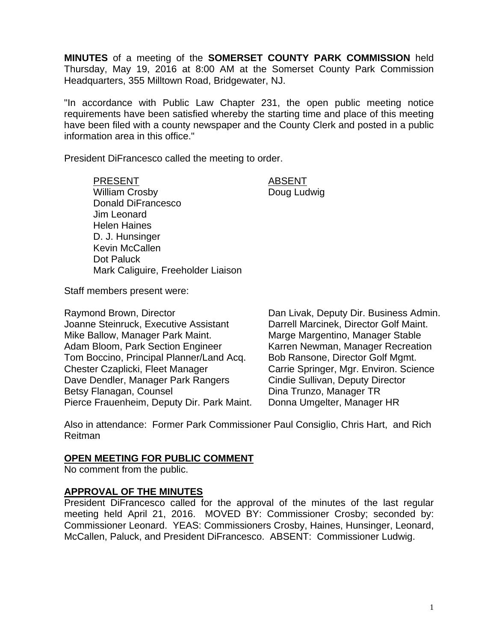**MINUTES** of a meeting of the **SOMERSET COUNTY PARK COMMISSION** held Thursday, May 19, 2016 at 8:00 AM at the Somerset County Park Commission Headquarters, 355 Milltown Road, Bridgewater, NJ.

"In accordance with Public Law Chapter 231, the open public meeting notice requirements have been satisfied whereby the starting time and place of this meeting have been filed with a county newspaper and the County Clerk and posted in a public information area in this office."

President DiFrancesco called the meeting to order.

PRESENT ABSENT William Crosby **Doug Ludwig** Donald DiFrancesco Jim Leonard Helen Haines D. J. Hunsinger Kevin McCallen Dot Paluck Mark Caliguire, Freeholder Liaison

Staff members present were:

Raymond Brown, Director Dan Livak, Deputy Dir. Business Admin. Joanne Steinruck, Executive Assistant Darrell Marcinek, Director Golf Maint. Mike Ballow, Manager Park Maint. Marge Marge Margentino, Manager Stable Adam Bloom, Park Section Engineer Karren Newman, Manager Recreation Tom Boccino, Principal Planner/Land Acq. Bob Ransone, Director Golf Mgmt. Chester Czaplicki, Fleet Manager Carrie Springer, Mgr. Environ. Science Dave Dendler, Manager Park Rangers Cindie Sullivan, Deputy Director Betsy Flanagan, Counsel **Dina Trunzo**, Manager TR Pierce Frauenheim, Deputy Dir. Park Maint. Donna Umgelter, Manager HR

Also in attendance: Former Park Commissioner Paul Consiglio, Chris Hart, and Rich Reitman

## **OPEN MEETING FOR PUBLIC COMMENT**

No comment from the public.

## **APPROVAL OF THE MINUTES**

President DiFrancesco called for the approval of the minutes of the last regular meeting held April 21, 2016. MOVED BY: Commissioner Crosby; seconded by: Commissioner Leonard. YEAS: Commissioners Crosby, Haines, Hunsinger, Leonard, McCallen, Paluck, and President DiFrancesco. ABSENT: Commissioner Ludwig.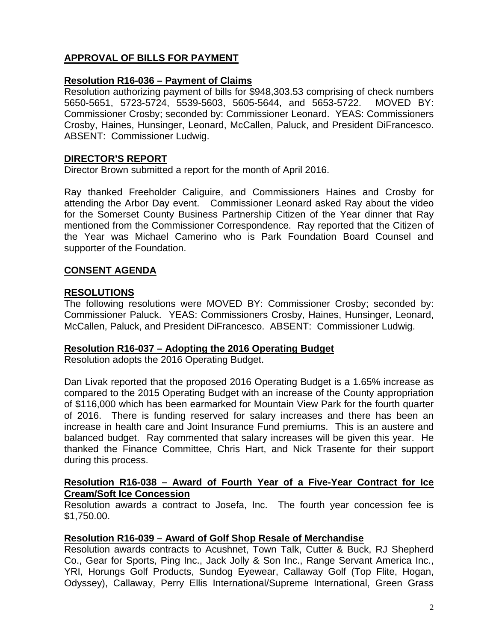# **APPROVAL OF BILLS FOR PAYMENT**

## **Resolution R16-036 – Payment of Claims**

Resolution authorizing payment of bills for \$948,303.53 comprising of check numbers 5650-5651, 5723-5724, 5539-5603, 5605-5644, and 5653-5722. MOVED BY: Commissioner Crosby; seconded by: Commissioner Leonard. YEAS: Commissioners Crosby, Haines, Hunsinger, Leonard, McCallen, Paluck, and President DiFrancesco. ABSENT: Commissioner Ludwig.

#### **DIRECTOR'S REPORT**

Director Brown submitted a report for the month of April 2016.

Ray thanked Freeholder Caliguire, and Commissioners Haines and Crosby for attending the Arbor Day event. Commissioner Leonard asked Ray about the video for the Somerset County Business Partnership Citizen of the Year dinner that Ray mentioned from the Commissioner Correspondence. Ray reported that the Citizen of the Year was Michael Camerino who is Park Foundation Board Counsel and supporter of the Foundation.

# **CONSENT AGENDA**

## **RESOLUTIONS**

The following resolutions were MOVED BY: Commissioner Crosby; seconded by: Commissioner Paluck. YEAS: Commissioners Crosby, Haines, Hunsinger, Leonard, McCallen, Paluck, and President DiFrancesco. ABSENT: Commissioner Ludwig.

#### **Resolution R16-037 – Adopting the 2016 Operating Budget**

Resolution adopts the 2016 Operating Budget.

Dan Livak reported that the proposed 2016 Operating Budget is a 1.65% increase as compared to the 2015 Operating Budget with an increase of the County appropriation of \$116,000 which has been earmarked for Mountain View Park for the fourth quarter of 2016. There is funding reserved for salary increases and there has been an increase in health care and Joint Insurance Fund premiums. This is an austere and balanced budget. Ray commented that salary increases will be given this year. He thanked the Finance Committee, Chris Hart, and Nick Trasente for their support during this process.

#### **Resolution R16-038 – Award of Fourth Year of a Five-Year Contract for Ice Cream/Soft Ice Concession**

Resolution awards a contract to Josefa, Inc. The fourth year concession fee is \$1,750.00.

## **Resolution R16-039 – Award of Golf Shop Resale of Merchandise**

Resolution awards contracts to Acushnet, Town Talk, Cutter & Buck, RJ Shepherd Co., Gear for Sports, Ping Inc., Jack Jolly & Son Inc., Range Servant America Inc., YRI, Horungs Golf Products, Sundog Eyewear, Callaway Golf (Top Flite, Hogan, Odyssey), Callaway, Perry Ellis International/Supreme International, Green Grass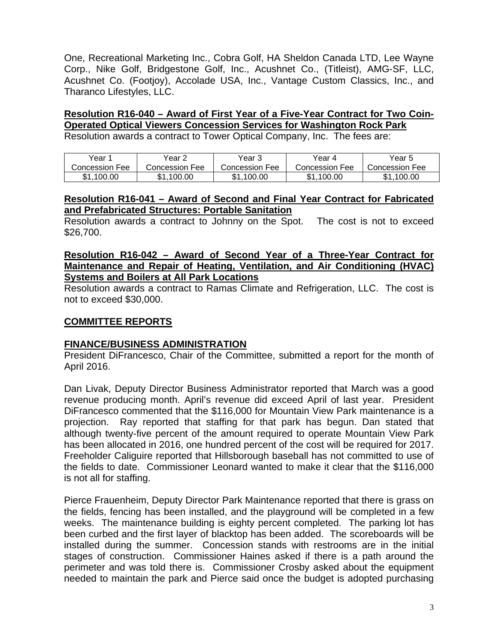One, Recreational Marketing Inc., Cobra Golf, HA Sheldon Canada LTD, Lee Wayne Corp., Nike Golf, Bridgestone Golf, Inc., Acushnet Co., (Titleist), AMG-SF, LLC, Acushnet Co. (Footjoy), Accolade USA, Inc., Vantage Custom Classics, Inc., and Tharanco Lifestyles, LLC.

#### **Resolution R16-040 – Award of First Year of a Five-Year Contract for Two Coin-Operated Optical Viewers Concession Services for Washington Rock Park**  Resolution awards a contract to Tower Optical Company, Inc. The fees are:

| Year 1         | Year 2         | Year 3         | Year 4          | Year 5          |
|----------------|----------------|----------------|-----------------|-----------------|
| Concession Fee | Concession Fee | Concession Fee | Concession Fee  | Concession Fee  |
| \$1.100.00     | \$1.100.00     | \$1.100.00     | .100.00<br>\$1. | \$1.<br>.100.00 |

# **Resolution R16-041 – Award of Second and Final Year Contract for Fabricated and Prefabricated Structures: Portable Sanitation**

Resolution awards a contract to Johnny on the Spot. The cost is not to exceed \$26,700.

# **Resolution R16-042 – Award of Second Year of a Three-Year Contract for Maintenance and Repair of Heating, Ventilation, and Air Conditioning (HVAC) Systems and Boilers at All Park Locations**

Resolution awards a contract to Ramas Climate and Refrigeration, LLC. The cost is not to exceed \$30,000.

# **COMMITTEE REPORTS**

# **FINANCE/BUSINESS ADMINISTRATION**

President DiFrancesco, Chair of the Committee, submitted a report for the month of April 2016.

Dan Livak, Deputy Director Business Administrator reported that March was a good revenue producing month. April's revenue did exceed April of last year. President DiFrancesco commented that the \$116,000 for Mountain View Park maintenance is a projection. Ray reported that staffing for that park has begun. Dan stated that although twenty-five percent of the amount required to operate Mountain View Park has been allocated in 2016, one hundred percent of the cost will be required for 2017. Freeholder Caliguire reported that Hillsborough baseball has not committed to use of the fields to date. Commissioner Leonard wanted to make it clear that the \$116,000 is not all for staffing.

Pierce Frauenheim, Deputy Director Park Maintenance reported that there is grass on the fields, fencing has been installed, and the playground will be completed in a few weeks. The maintenance building is eighty percent completed. The parking lot has been curbed and the first layer of blacktop has been added. The scoreboards will be installed during the summer. Concession stands with restrooms are in the initial stages of construction. Commissioner Haines asked if there is a path around the perimeter and was told there is. Commissioner Crosby asked about the equipment needed to maintain the park and Pierce said once the budget is adopted purchasing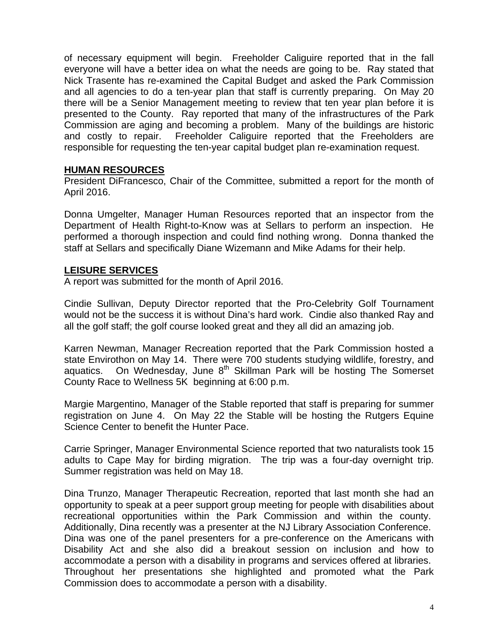of necessary equipment will begin. Freeholder Caliguire reported that in the fall everyone will have a better idea on what the needs are going to be. Ray stated that Nick Trasente has re-examined the Capital Budget and asked the Park Commission and all agencies to do a ten-year plan that staff is currently preparing. On May 20 there will be a Senior Management meeting to review that ten year plan before it is presented to the County. Ray reported that many of the infrastructures of the Park Commission are aging and becoming a problem. Many of the buildings are historic and costly to repair. Freeholder Caliguire reported that the Freeholders are responsible for requesting the ten-year capital budget plan re-examination request.

## **HUMAN RESOURCES**

President DiFrancesco, Chair of the Committee, submitted a report for the month of April 2016.

Donna Umgelter, Manager Human Resources reported that an inspector from the Department of Health Right-to-Know was at Sellars to perform an inspection. He performed a thorough inspection and could find nothing wrong. Donna thanked the staff at Sellars and specifically Diane Wizemann and Mike Adams for their help.

# **LEISURE SERVICES**

A report was submitted for the month of April 2016.

Cindie Sullivan, Deputy Director reported that the Pro-Celebrity Golf Tournament would not be the success it is without Dina's hard work. Cindie also thanked Ray and all the golf staff; the golf course looked great and they all did an amazing job.

Karren Newman, Manager Recreation reported that the Park Commission hosted a state Envirothon on May 14. There were 700 students studying wildlife, forestry, and aquatics. On Wednesday, June  $8<sup>th</sup>$  Skillman Park will be hosting The Somerset County Race to Wellness 5K beginning at 6:00 p.m.

Margie Margentino, Manager of the Stable reported that staff is preparing for summer registration on June 4. On May 22 the Stable will be hosting the Rutgers Equine Science Center to benefit the Hunter Pace.

Carrie Springer, Manager Environmental Science reported that two naturalists took 15 adults to Cape May for birding migration. The trip was a four-day overnight trip. Summer registration was held on May 18.

Dina Trunzo, Manager Therapeutic Recreation, reported that last month she had an opportunity to speak at a peer support group meeting for people with disabilities about recreational opportunities within the Park Commission and within the county. Additionally, Dina recently was a presenter at the NJ Library Association Conference. Dina was one of the panel presenters for a pre-conference on the Americans with Disability Act and she also did a breakout session on inclusion and how to accommodate a person with a disability in programs and services offered at libraries. Throughout her presentations she highlighted and promoted what the Park Commission does to accommodate a person with a disability.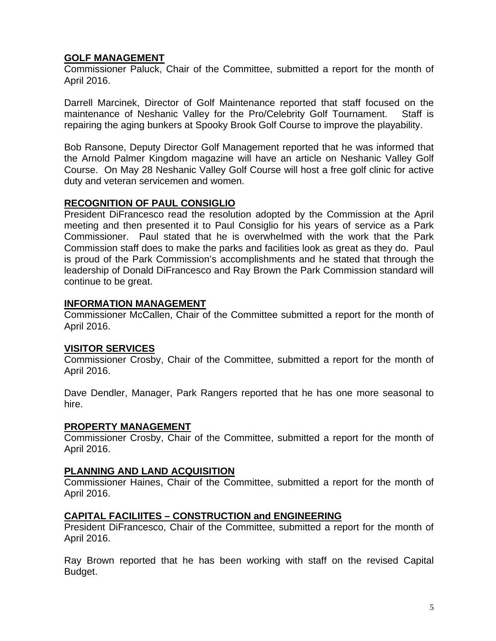# **GOLF MANAGEMENT**

Commissioner Paluck, Chair of the Committee, submitted a report for the month of April 2016.

Darrell Marcinek, Director of Golf Maintenance reported that staff focused on the maintenance of Neshanic Valley for the Pro/Celebrity Golf Tournament. Staff is repairing the aging bunkers at Spooky Brook Golf Course to improve the playability.

Bob Ransone, Deputy Director Golf Management reported that he was informed that the Arnold Palmer Kingdom magazine will have an article on Neshanic Valley Golf Course. On May 28 Neshanic Valley Golf Course will host a free golf clinic for active duty and veteran servicemen and women.

## **RECOGNITION OF PAUL CONSIGLIO**

President DiFrancesco read the resolution adopted by the Commission at the April meeting and then presented it to Paul Consiglio for his years of service as a Park Commissioner. Paul stated that he is overwhelmed with the work that the Park Commission staff does to make the parks and facilities look as great as they do. Paul is proud of the Park Commission's accomplishments and he stated that through the leadership of Donald DiFrancesco and Ray Brown the Park Commission standard will continue to be great.

# **INFORMATION MANAGEMENT**

Commissioner McCallen, Chair of the Committee submitted a report for the month of April 2016.

## **VISITOR SERVICES**

Commissioner Crosby, Chair of the Committee, submitted a report for the month of April 2016.

Dave Dendler, Manager, Park Rangers reported that he has one more seasonal to hire.

## **PROPERTY MANAGEMENT**

Commissioner Crosby, Chair of the Committee, submitted a report for the month of April 2016.

## **PLANNING AND LAND ACQUISITION**

Commissioner Haines, Chair of the Committee, submitted a report for the month of April 2016.

## **CAPITAL FACILIITES – CONSTRUCTION and ENGINEERING**

President DiFrancesco, Chair of the Committee, submitted a report for the month of April 2016.

Ray Brown reported that he has been working with staff on the revised Capital Budget.